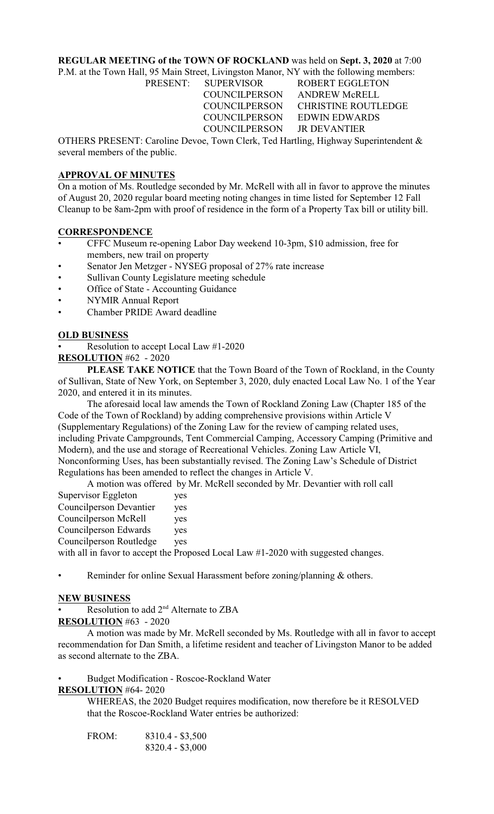# **REGULAR MEETING of the TOWN OF ROCKLAND** was held on **Sept. 3, 2020** at 7:00

P.M. at the Town Hall, 95 Main Street, Livingston Manor, NY with the following members: PRESENT: SUPERVISOR ROBERT EGGLETON

 COUNCILPERSON ANDREW McRELL COUNCILPERSON CHRISTINE ROUTLEDGE COUNCILPERSON EDWIN EDWARDS

COUNCILPERSON JR DEVANTIER OTHERS PRESENT: Caroline Devoe, Town Clerk, Ted Hartling, Highway Superintendent & several members of the public.

# **APPROVAL OF MINUTES**

On a motion of Ms. Routledge seconded by Mr. McRell with all in favor to approve the minutes of August 20, 2020 regular board meeting noting changes in time listed for September 12 Fall Cleanup to be 8am-2pm with proof of residence in the form of a Property Tax bill or utility bill.

## **CORRESPONDENCE**

- CFFC Museum re-opening Labor Day weekend 10-3pm, \$10 admission, free for members, new trail on property
- Senator Jen Metzger NYSEG proposal of 27% rate increase
- Sullivan County Legislature meeting schedule
- Office of State Accounting Guidance
- NYMIR Annual Report
- Chamber PRIDE Award deadline

## **OLD BUSINESS**

• Resolution to accept Local Law #1-2020

**RESOLUTION** #62 - 2020

**PLEASE TAKE NOTICE** that the Town Board of the Town of Rockland, in the County of Sullivan, State of New York, on September 3, 2020, duly enacted Local Law No. 1 of the Year 2020, and entered it in its minutes.

The aforesaid local law amends the Town of Rockland Zoning Law (Chapter 185 of the Code of the Town of Rockland) by adding comprehensive provisions within Article V (Supplementary Regulations) of the Zoning Law for the review of camping related uses, including Private Campgrounds, Tent Commercial Camping, Accessory Camping (Primitive and Modern), and the use and storage of Recreational Vehicles. Zoning Law Article VI, Nonconforming Uses, has been substantially revised. The Zoning Law's Schedule of District Regulations has been amended to reflect the changes in Article V.

A motion was offered by Mr. McRell seconded by Mr. Devantier with roll call

| Supervisor Eggleton     | yes |
|-------------------------|-----|
| Councilperson Devantier | yes |
| Councilperson McRell    | yes |
| Councilperson Edwards   | yes |
| Councilperson Routledge | yes |
|                         |     |

with all in favor to accept the Proposed Local Law  $\#1-2020$  with suggested changes.

Reminder for online Sexual Harassment before zoning/planning & others.

## **NEW BUSINESS**

Resolution to add  $2<sup>nd</sup>$  Alternate to ZBA

## **RESOLUTION** #63 - 2020

A motion was made by Mr. McRell seconded by Ms. Routledge with all in favor to accept recommendation for Dan Smith, a lifetime resident and teacher of Livingston Manor to be added as second alternate to the ZBA.

• Budget Modification - Roscoe-Rockland Water

# **RESOLUTION** #64- 2020

WHEREAS, the 2020 Budget requires modification, now therefore be it RESOLVED that the Roscoe-Rockland Water entries be authorized:

| FROM: | $8310.4 - $3,500$ |
|-------|-------------------|
|       | $8320.4 - $3,000$ |